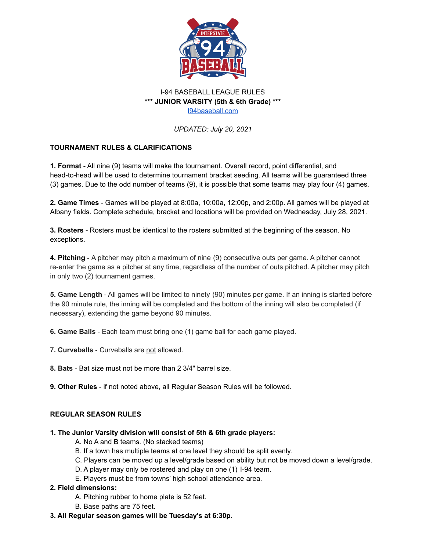

## I-94 BASEBALL LEAGUE RULES **\*\*\* JUNIOR VARSITY (5th & 6th Grade) \*\*\*** [I94baseball.com](https://www.i94baseball.com/)

*UPDATED: July 20, 2021*

# **TOURNAMENT RULES & CLARIFICATIONS**

**1. Format** - All nine (9) teams will make the tournament. Overall record, point differential, and head-to-head will be used to determine tournament bracket seeding. All teams will be guaranteed three (3) games. Due to the odd number of teams (9), it is possible that some teams may play four (4) games.

**2. Game Times** - Games will be played at 8:00a, 10:00a, 12:00p, and 2:00p. All games will be played at Albany fields. Complete schedule, bracket and locations will be provided on Wednesday, July 28, 2021.

**3. Rosters** - Rosters must be identical to the rosters submitted at the beginning of the season. No exceptions.

**4. Pitching** - A pitcher may pitch a maximum of nine (9) consecutive outs per game. A pitcher cannot re-enter the game as a pitcher at any time, regardless of the number of outs pitched. A pitcher may pitch in only two (2) tournament games.

**5. Game Length** - All games will be limited to ninety (90) minutes per game. If an inning is started before the 90 minute rule, the inning will be completed and the bottom of the inning will also be completed (if necessary), extending the game beyond 90 minutes.

**6. Game Balls** - Each team must bring one (1) game ball for each game played.

**7. Curveballs** - Curveballs are not allowed.

**8. Bats** - Bat size must not be more than 2 3/4" barrel size.

**9. Other Rules** - if not noted above, all Regular Season Rules will be followed.

## **REGULAR SEASON RULES**

## **1. The Junior Varsity division will consist of 5th & 6th grade players:**

- A. No A and B teams. (No stacked teams)
- B. If a town has multiple teams at one level they should be split evenly.
- C. Players can be moved up a level/grade based on ability but not be moved down a level/grade.
- D. A player may only be rostered and play on one (1) I-94 team.
- E. Players must be from towns' high school attendance area.

## **2. Field dimensions:**

- A. Pitching rubber to home plate is 52 feet.
- B. Base paths are 75 feet.
- **3. All Regular season games will be Tuesday's at 6:30p.**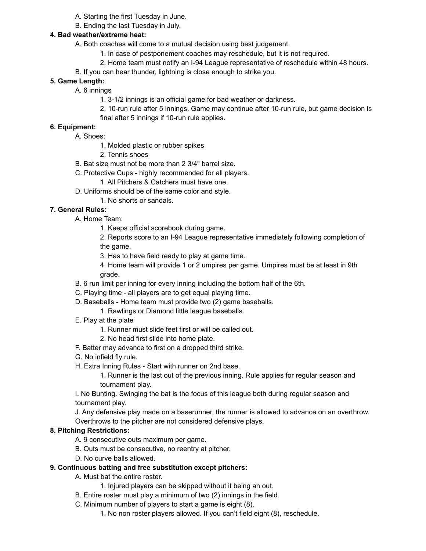- A. Starting the first Tuesday in June.
- B. Ending the last Tuesday in July.

## **4. Bad weather/extreme heat:**

- A. Both coaches will come to a mutual decision using best judgement.
	- 1. In case of postponement coaches may reschedule, but it is not required.
	- 2. Home team must notify an I-94 League representative of reschedule within 48 hours.
- B. If you can hear thunder, lightning is close enough to strike you.

## **5. Game Length:**

- A. 6 innings
	- 1. 3-1/2 innings is an official game for bad weather or darkness.
	- 2. 10-run rule after 5 innings. Game may continue after 10-run rule, but game decision is final after 5 innings if 10-run rule applies.

## **6. Equipment:**

- A. Shoes:
	- 1. Molded plastic or rubber spikes
	- 2. Tennis shoes
- B. Bat size must not be more than 2 3/4" barrel size.
- C. Protective Cups highly recommended for all players.
	- 1. All Pitchers & Catchers must have one.
- D. Uniforms should be of the same color and style.
	- 1. No shorts or sandals.

## **7. General Rules:**

- A. Home Team:
	- 1. Keeps official scorebook during game.
	- 2. Reports score to an I-94 League representative immediately following completion of the game.
	- 3. Has to have field ready to play at game time.
	- 4. Home team will provide 1 or 2 umpires per game. Umpires must be at least in 9th grade.
- B. 6 run limit per inning for every inning including the bottom half of the 6th.
- C. Playing time all players are to get equal playing time.
- D. Baseballs Home team must provide two (2) game baseballs.
	- 1. Rawlings or Diamond little league baseballs.
- E. Play at the plate
	- 1. Runner must slide feet first or will be called out.
	- 2. No head first slide into home plate.
- F. Batter may advance to first on a dropped third strike.
- G. No infield fly rule.
- H. Extra Inning Rules Start with runner on 2nd base.
	- 1. Runner is the last out of the previous inning. Rule applies for regular season and tournament play.
- I. No Bunting. Swinging the bat is the focus of this league both during regular season and tournament play.

J. Any defensive play made on a baserunner, the runner is allowed to advance on an overthrow. Overthrows to the pitcher are not considered defensive plays.

## **8. Pitching Restrictions:**

- A. 9 consecutive outs maximum per game.
- B. Outs must be consecutive, no reentry at pitcher.
- D. No curve balls allowed.
- **9. Continuous batting and free substitution except pitchers:**
	- A. Must bat the entire roster.
		- 1. Injured players can be skipped without it being an out.
	- B. Entire roster must play a minimum of two (2) innings in the field.
	- C. Minimum number of players to start a game is eight (8).
		- 1. No non roster players allowed. If you can't field eight (8), reschedule.